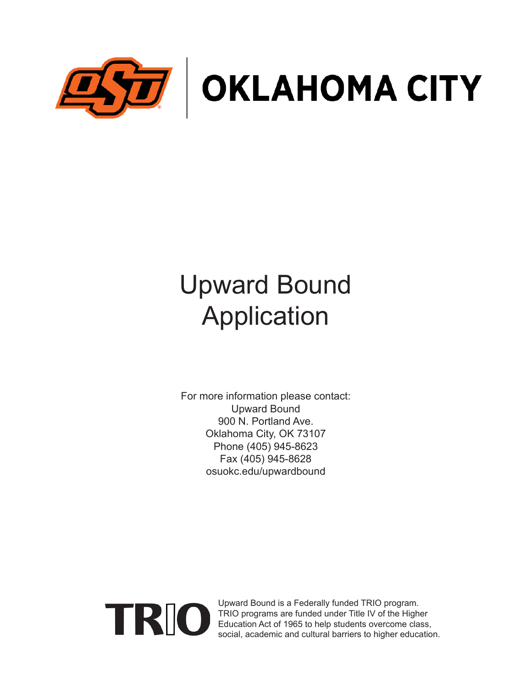

# Upward Bound Application

For more information please contact: Upward Bound 900 N. Portland Ave. Oklahoma City, OK 73107 Phone (405) 945-8623 Fax (405) 945-8628 osuokc.edu/upwardbound



Upward Bound is a Federally funded TRIO program. TRIO programs are funded under Title IV of the Higher Education Act of 1965 to help students overcome class, social, academic and cultural barriers to higher education.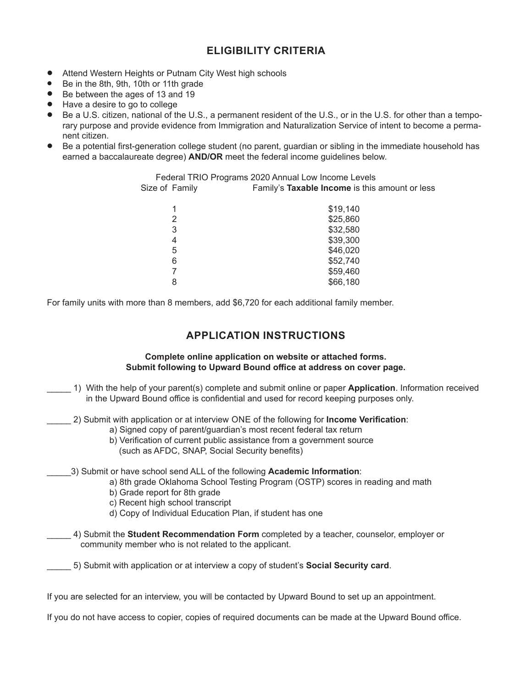## **ELIGIBILITY CRITERIA**

- Attend Western Heights or Putnam City West high schools
- Be in the 8th, 9th, 10th or 11th grade
- Be between the ages of 13 and 19
- Have a desire to go to college
- Be a U.S. citizen, national of the U.S., a permanent resident of the U.S., or in the U.S. for other than a temporary purpose and provide evidence from Immigration and Naturalization Service of intent to become a permanent citizen.
- Be a potential first-generation college student (no parent, guardian or sibling in the immediate household has earned a baccalaureate degree) **AND/OR** meet the federal income guidelines below.

| Federal TRIO Programs 2020 Annual Low Income Levels |                                                |  |
|-----------------------------------------------------|------------------------------------------------|--|
| Size of Family                                      | Family's Taxable Income is this amount or less |  |
|                                                     | \$19,140                                       |  |
|                                                     | \$25,860                                       |  |
| 3                                                   | \$32,580                                       |  |
| 4                                                   | \$39,300                                       |  |
| 5                                                   | \$46,020                                       |  |
| 6                                                   | \$52,740                                       |  |
|                                                     | \$59,460                                       |  |
| 8                                                   | \$66,180                                       |  |

For family units with more than 8 members, add \$6,720 for each additional family member.

### **APPLICATION INSTRUCTIONS**

#### **Complete online application on website or attached forms. Submit following to Upward Bound office at address on cover page.**

- \_\_\_\_\_ 1) With the help of your parent(s) complete and submit online or paper **Application**. Information received in the Upward Bound office is confidential and used for record keeping purposes only.
- \_\_\_\_\_ 2) Submit with application or at interview ONE of the following for **Income Verification**:
	- a) Signed copy of parent/guardian's most recent federal tax return
	- b) Verification of current public assistance from a government source (such as AFDC, SNAP, Social Security benefits)

\_\_\_\_\_3) Submit or have school send ALL of the following **Academic Information**:

a) 8th grade Oklahoma School Testing Program (OSTP) scores in reading and math

- b) Grade report for 8th grade
- c) Recent high school transcript
- d) Copy of Individual Education Plan, if student has one

\_\_\_\_\_ 4) Submit the **Student Recommendation Form** completed by a teacher, counselor, employer or community member who is not related to the applicant.

\_\_\_\_\_ 5) Submit with application or at interview a copy of student's **Social Security card**.

If you are selected for an interview, you will be contacted by Upward Bound to set up an appointment.

If you do not have access to copier, copies of required documents can be made at the Upward Bound office.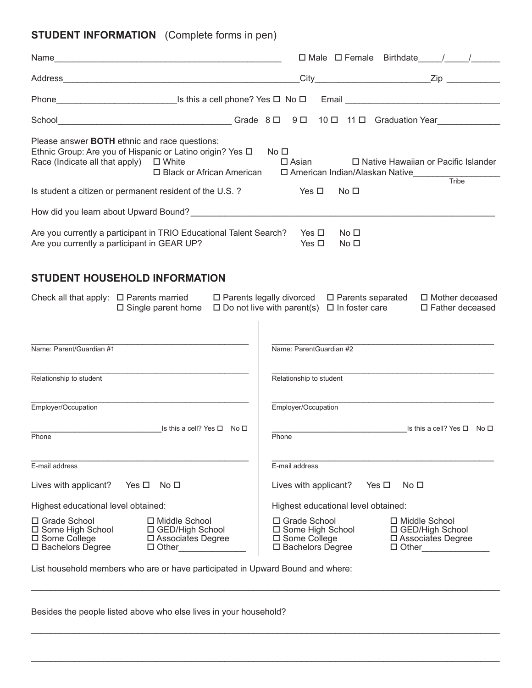## **STUDENT INFORMATION** (Complete forms in pen)

|                                                                                                                                                                                                      | $\Box$ Male $\Box$ Female Birthdate $\Box$                                                                           |                                                |
|------------------------------------------------------------------------------------------------------------------------------------------------------------------------------------------------------|----------------------------------------------------------------------------------------------------------------------|------------------------------------------------|
|                                                                                                                                                                                                      |                                                                                                                      |                                                |
|                                                                                                                                                                                                      |                                                                                                                      |                                                |
|                                                                                                                                                                                                      |                                                                                                                      |                                                |
| Please answer <b>BOTH</b> ethnic and race questions:<br>Ethnic Group: Are you of Hispanic or Latino origin? Yes $\Box$<br>Race (Indicate all that apply) $\Box$ White<br>□ Black or African American | No <sub>1</sub><br>$\square$ Asian<br>□ American Indian/Alaskan Native                                               | □ Native Hawaiian or Pacific Islander<br>Tribe |
| Is student a citizen or permanent resident of the U.S.?                                                                                                                                              | Yes $\square$<br>No <sub>1</sub>                                                                                     |                                                |
|                                                                                                                                                                                                      |                                                                                                                      |                                                |
| Are you currently a participant in TRIO Educational Talent Search?<br>Are you currently a participant in GEAR UP?                                                                                    | Yes □<br>No <sub>1</sub><br>Yes $\square$<br>No <sub>1</sub>                                                         |                                                |
| <b>STUDENT HOUSEHOLD INFORMATION</b>                                                                                                                                                                 |                                                                                                                      |                                                |
| Check all that apply: $\Box$ Parents married<br>$\Box$ Single parent home                                                                                                                            | $\Box$ Parents legally divorced $\Box$ Parents separated<br>$\Box$ Do not live with parent(s) $\Box$ In foster care  | □ Mother deceased<br>□ Father deceased         |
| Name: Parent/Guardian #1                                                                                                                                                                             | Name: ParentGuardian #2                                                                                              |                                                |
| Relationship to student                                                                                                                                                                              | Relationship to student                                                                                              |                                                |
| Employer/Occupation                                                                                                                                                                                  | Employer/Occupation                                                                                                  |                                                |
| Is this a cell? Yes $\Box$ No $\Box$<br>Phone                                                                                                                                                        | Phone                                                                                                                | Is this a cell? Yes □ No □                     |
| E-mail address                                                                                                                                                                                       | E-mail address                                                                                                       |                                                |
| Lives with applicant?<br>Yes $\Box$<br>No <sub>1</sub>                                                                                                                                               | Lives with applicant?<br>Yes $\Box$<br>No □                                                                          |                                                |
| Highest educational level obtained:                                                                                                                                                                  | Highest educational level obtained:                                                                                  |                                                |
| □ Grade School<br>□ Middle School<br>□ Some High School<br>□ GED/High School<br>□ Some College<br>□ Associates Degree<br>□ Bachelors Degree<br>$\Box$ Other                                          | □ Grade School<br>$\Box$ Middle School<br>□ Some High School<br>□ Some College<br>□ Bachelors Degree<br>$\Box$ Other | □ GED/High School<br>□ Associates Degree       |
| List household members who are or have participated in Upward Bound and where:                                                                                                                       |                                                                                                                      |                                                |

\_\_\_\_\_\_\_\_\_\_\_\_\_\_\_\_\_\_\_\_\_\_\_\_\_\_\_\_\_\_\_\_\_\_\_\_\_\_\_\_\_\_\_\_\_\_\_\_\_\_\_\_\_\_\_\_\_\_\_\_\_\_\_\_\_\_\_\_\_\_\_\_\_\_\_\_\_\_\_\_\_\_\_\_\_\_\_\_\_\_\_\_\_\_\_\_\_

\_\_\_\_\_\_\_\_\_\_\_\_\_\_\_\_\_\_\_\_\_\_\_\_\_\_\_\_\_\_\_\_\_\_\_\_\_\_\_\_\_\_\_\_\_\_\_\_\_\_\_\_\_\_\_\_\_\_\_\_\_\_\_\_\_\_\_\_\_\_\_\_\_\_\_\_\_\_\_\_\_\_\_\_\_\_\_\_\_\_\_\_\_\_\_\_\_

\_\_\_\_\_\_\_\_\_\_\_\_\_\_\_\_\_\_\_\_\_\_\_\_\_\_\_\_\_\_\_\_\_\_\_\_\_\_\_\_\_\_\_\_\_\_\_\_\_\_\_\_\_\_\_\_\_\_\_\_\_\_\_\_\_\_\_\_\_\_\_\_\_\_\_\_\_\_\_\_\_\_\_\_\_\_\_\_\_\_\_\_\_\_\_\_\_

Besides the people listed above who else lives in your household?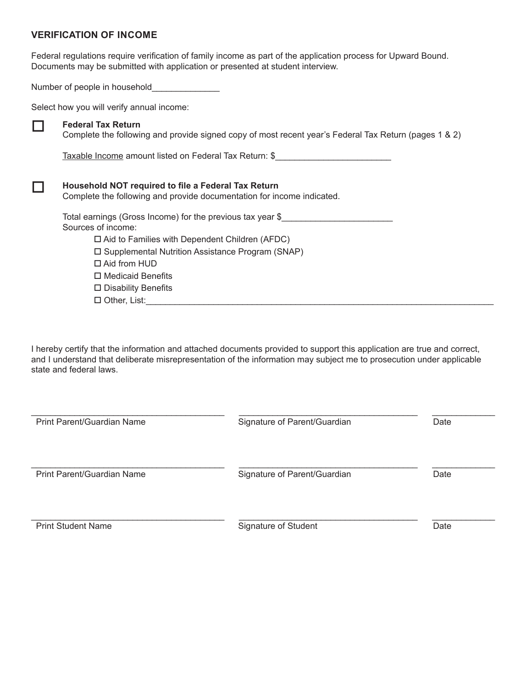#### **VERIFICATION OF INCOME**

Federal regulations require verification of family income as part of the application process for Upward Bound. Documents may be submitted with application or presented at student interview.

Number of people in household

Select how you will verify annual income:

#### **Federal Tax Return**

Complete the following and provide signed copy of most recent year's Federal Tax Return (pages 1 & 2)

Taxable Income amount listed on Federal Tax Return: \$\_\_\_\_\_\_\_\_\_\_\_\_\_\_\_\_\_\_\_\_\_\_\_\_\_\_\_

| Household NOT required to file a Federal Tax Return<br>Complete the following and provide documentation for income indicated. |
|-------------------------------------------------------------------------------------------------------------------------------|
| Total earnings (Gross Income) for the previous tax year \$<br>Sources of income:                                              |
| $\Box$ Aid to Families with Dependent Children (AFDC)                                                                         |
| $\square$ Supplemental Nutrition Assistance Program (SNAP)                                                                    |
| $\Box$ Aid from HUD                                                                                                           |
| $\Box$ Medicaid Benefits                                                                                                      |
| $\square$ Disability Benefits                                                                                                 |
| $\Box$ Other, List:                                                                                                           |

I hereby certify that the information and attached documents provided to support this application are true and correct, and I understand that deliberate misrepresentation of the information may subject me to prosecution under applicable state and federal laws.

| Print Parent/Guardian Name | Signature of Parent/Guardian | Date |
|----------------------------|------------------------------|------|
| Print Parent/Guardian Name | Signature of Parent/Guardian | Date |
| <b>Print Student Name</b>  | Signature of Student         | Date |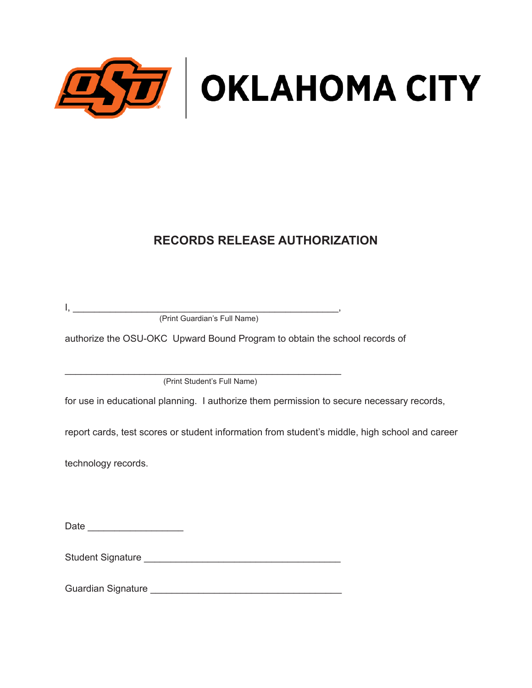

## **RECORDS RELEASE AUTHORIZATION**

I, \_\_\_\_\_\_\_\_\_\_\_\_\_\_\_\_\_\_\_\_\_\_\_\_\_\_\_\_\_\_\_\_\_\_\_\_\_\_\_\_\_\_\_\_\_\_\_\_\_\_, (Print Guardian's Full Name)

authorize the OSU-OKC Upward Bound Program to obtain the school records of

\_\_\_\_\_\_\_\_\_\_\_\_\_\_\_\_\_\_\_\_\_\_\_\_\_\_\_\_\_\_\_\_\_\_\_\_\_\_\_\_\_\_\_\_\_\_\_\_\_\_\_\_ (Print Student's Full Name)

for use in educational planning. I authorize them permission to secure necessary records,

report cards, test scores or student information from student's middle, high school and career

technology records.

| Date |
|------|
|------|

Student Signature \_\_\_\_\_\_\_\_\_\_\_\_\_\_\_\_\_\_\_\_\_\_\_\_\_\_\_\_\_\_\_\_\_\_\_\_\_

Guardian Signature \_\_\_\_\_\_\_\_\_\_\_\_\_\_\_\_\_\_\_\_\_\_\_\_\_\_\_\_\_\_\_\_\_\_\_\_